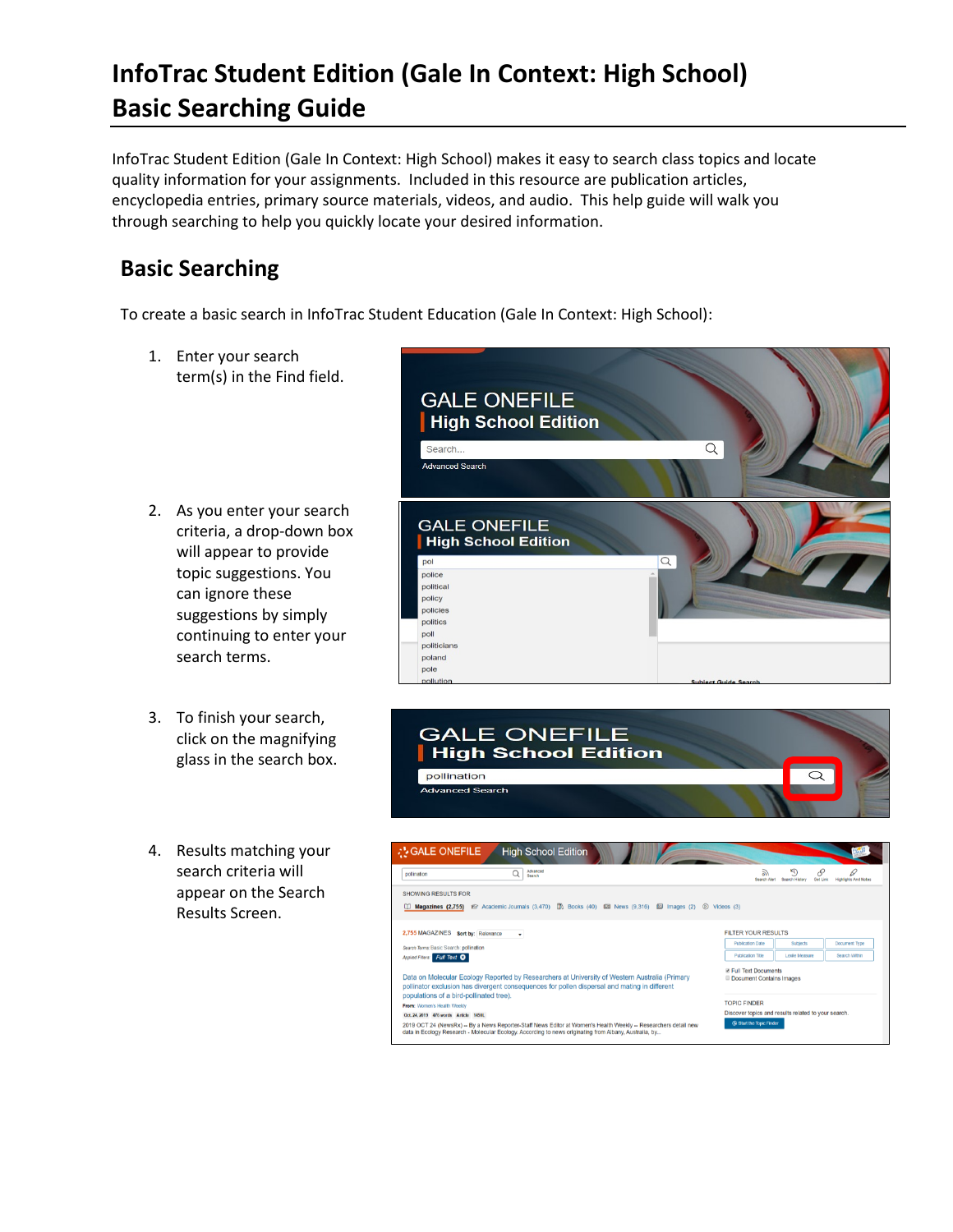## **InfoTrac Student Edition (Gale In Context: High School) Basic Searching Guide**

InfoTrac Student Edition (Gale In Context: High School) makes it easy to search class topics and locate quality information for your assignments. Included in this resource are publication articles, encyclopedia entries, primary source materials, videos, and audio. This help guide will walk you through searching to help you quickly locate your desired information.

## **Basic Searching**

To create a basic search in InfoTrac Student Education (Gale In Context: High School):

- 1. Enter your search term(s) in the Find field.
- 2. As you enter your search criteria, a drop-down box will appear to provide topic suggestions. You can ignore these suggestions by simply continuing to enter your search terms.
- 3. To finish your search, click on the magnifying glass in the search box.
- 4. Results matching your search criteria will appear on the Search Results Screen.